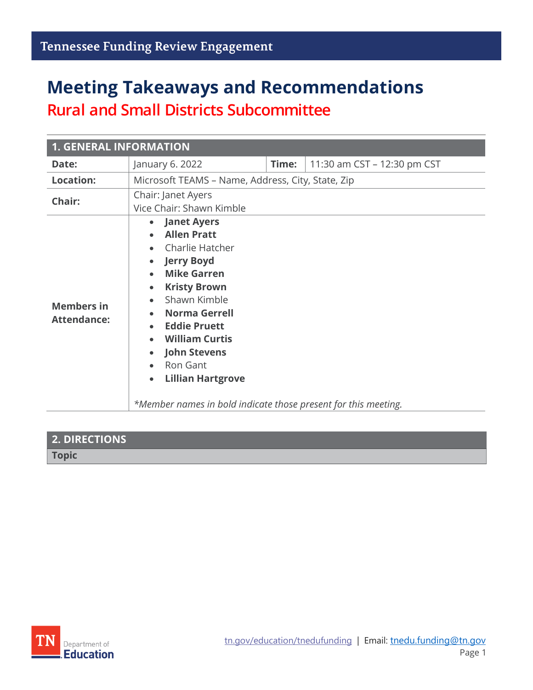# **Meeting Takeaways and Recommendations**

**Rural and Small Districts Subcommittee**

| <b>1. GENERAL INFORMATION</b>           |                                                                                                                                                                                                                                                                                                                                                                            |                                                                |
|-----------------------------------------|----------------------------------------------------------------------------------------------------------------------------------------------------------------------------------------------------------------------------------------------------------------------------------------------------------------------------------------------------------------------------|----------------------------------------------------------------|
| Date:                                   | January 6. 2022                                                                                                                                                                                                                                                                                                                                                            | Time:<br>11:30 am CST - 12:30 pm CST                           |
| <b>Location:</b>                        | Microsoft TEAMS - Name, Address, City, State, Zip                                                                                                                                                                                                                                                                                                                          |                                                                |
| Chair:                                  | Chair: Janet Ayers<br>Vice Chair: Shawn Kimble                                                                                                                                                                                                                                                                                                                             |                                                                |
| <b>Members in</b><br><b>Attendance:</b> | • Janet Ayers<br><b>Allen Pratt</b><br>$\bullet$<br>Charlie Hatcher<br><b>Jerry Boyd</b><br>$\bullet$<br><b>Mike Garren</b><br>$\bullet$<br><b>Kristy Brown</b><br>$\bullet$<br>Shawn Kimble<br>$\bullet$<br><b>Norma Gerrell</b><br><b>Eddie Pruett</b><br><b>William Curtis</b><br><b>John Stevens</b><br>Ron Gant<br>$\bullet$<br><b>Lillian Hartgrove</b><br>$\bullet$ | *Member names in bold indicate those present for this meeting. |

| <b>2. DIRECTIONS</b> |  |
|----------------------|--|
| Topic                |  |

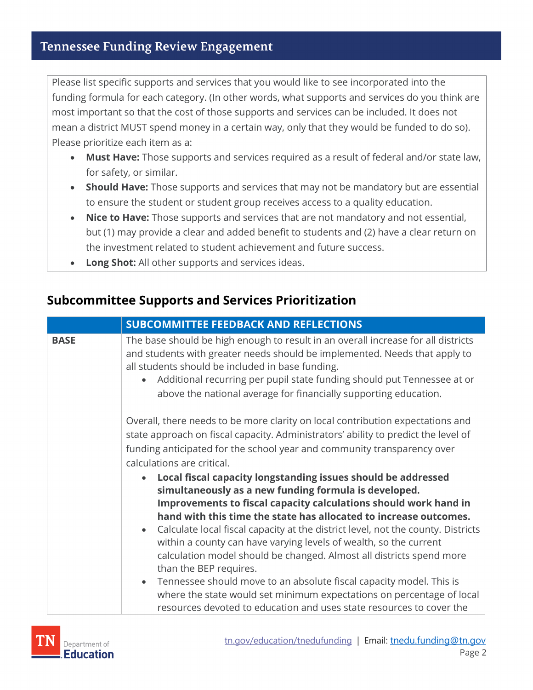Please list specific supports and services that you would like to see incorporated into the funding formula for each category. (In other words, what supports and services do you think are most important so that the cost of those supports and services can be included. It does not mean a district MUST spend money in a certain way, only that they would be funded to do so). Please prioritize each item as a:

- **Must Have:** Those supports and services required as a result of federal and/or state law, for safety, or similar.
- **Should Have:** Those supports and services that may not be mandatory but are essential to ensure the student or student group receives access to a quality education.
- **Nice to Have:** Those supports and services that are not mandatory and not essential, but (1) may provide a clear and added benefit to students and (2) have a clear return on the investment related to student achievement and future success.
- **Long Shot:** All other supports and services ideas.

### **Subcommittee Supports and Services Prioritization**

|             | <b>SUBCOMMITTEE FEEDBACK AND REFLECTIONS</b>                                                                                                                                                                                                                                                                                                                                                                                                                                                                                                                                                                                                                                                                                                                                 |
|-------------|------------------------------------------------------------------------------------------------------------------------------------------------------------------------------------------------------------------------------------------------------------------------------------------------------------------------------------------------------------------------------------------------------------------------------------------------------------------------------------------------------------------------------------------------------------------------------------------------------------------------------------------------------------------------------------------------------------------------------------------------------------------------------|
| <b>BASE</b> | The base should be high enough to result in an overall increase for all districts<br>and students with greater needs should be implemented. Needs that apply to<br>all students should be included in base funding.<br>Additional recurring per pupil state funding should put Tennessee at or<br>above the national average for financially supporting education.                                                                                                                                                                                                                                                                                                                                                                                                           |
|             | Overall, there needs to be more clarity on local contribution expectations and<br>state approach on fiscal capacity. Administrators' ability to predict the level of<br>funding anticipated for the school year and community transparency over<br>calculations are critical.                                                                                                                                                                                                                                                                                                                                                                                                                                                                                                |
|             | Local fiscal capacity longstanding issues should be addressed<br>simultaneously as a new funding formula is developed.<br>Improvements to fiscal capacity calculations should work hand in<br>hand with this time the state has allocated to increase outcomes.<br>Calculate local fiscal capacity at the district level, not the county. Districts<br>$\bullet$<br>within a county can have varying levels of wealth, so the current<br>calculation model should be changed. Almost all districts spend more<br>than the BEP requires.<br>Tennessee should move to an absolute fiscal capacity model. This is<br>$\bullet$<br>where the state would set minimum expectations on percentage of local<br>resources devoted to education and uses state resources to cover the |

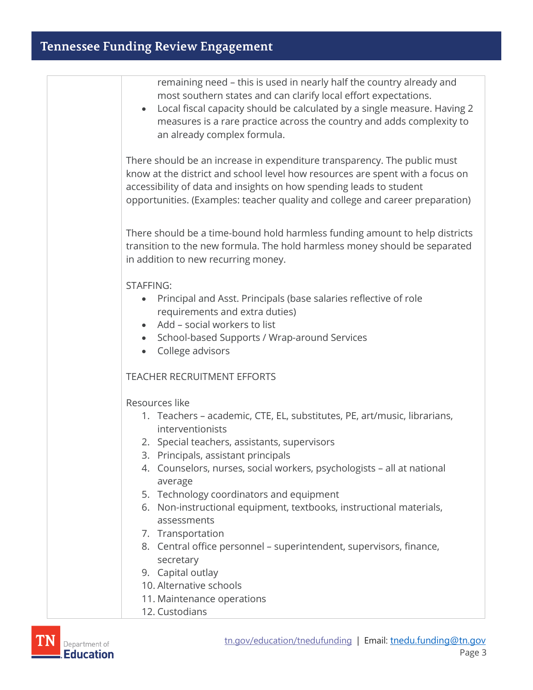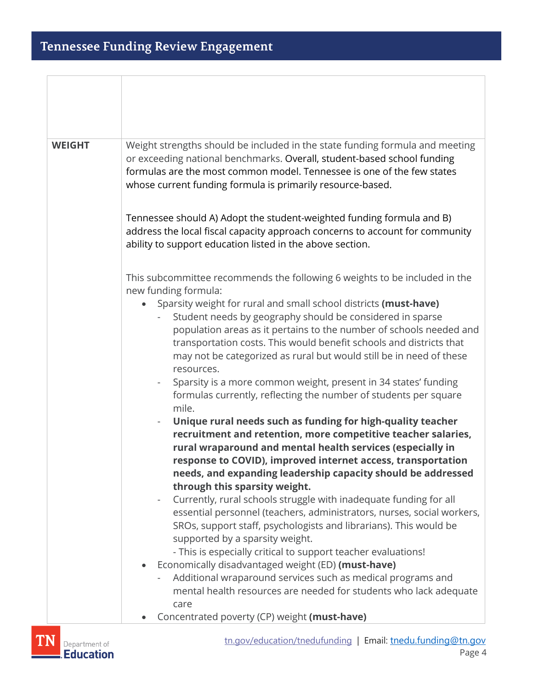| <b>WEIGHT</b> | Weight strengths should be included in the state funding formula and meeting<br>or exceeding national benchmarks. Overall, student-based school funding<br>formulas are the most common model. Tennessee is one of the few states<br>whose current funding formula is primarily resource-based.<br>Tennessee should A) Adopt the student-weighted funding formula and B)                                                                                                                                |
|---------------|---------------------------------------------------------------------------------------------------------------------------------------------------------------------------------------------------------------------------------------------------------------------------------------------------------------------------------------------------------------------------------------------------------------------------------------------------------------------------------------------------------|
|               | address the local fiscal capacity approach concerns to account for community<br>ability to support education listed in the above section.                                                                                                                                                                                                                                                                                                                                                               |
|               | This subcommittee recommends the following 6 weights to be included in the<br>new funding formula:                                                                                                                                                                                                                                                                                                                                                                                                      |
|               | Sparsity weight for rural and small school districts (must-have)<br>Student needs by geography should be considered in sparse<br>population areas as it pertains to the number of schools needed and<br>transportation costs. This would benefit schools and districts that<br>may not be categorized as rural but would still be in need of these<br>resources.<br>Sparsity is a more common weight, present in 34 states' funding<br>formulas currently, reflecting the number of students per square |
|               | mile.<br>Unique rural needs such as funding for high-quality teacher<br>recruitment and retention, more competitive teacher salaries,<br>rural wraparound and mental health services (especially in<br>response to COVID), improved internet access, transportation<br>needs, and expanding leadership capacity should be addressed<br>through this sparsity weight.<br>Currently, rural schools struggle with inadequate funding for all                                                               |
|               | essential personnel (teachers, administrators, nurses, social workers,<br>SROs, support staff, psychologists and librarians). This would be<br>supported by a sparsity weight.<br>- This is especially critical to support teacher evaluations!<br>Economically disadvantaged weight (ED) (must-have)<br>Additional wraparound services such as medical programs and<br>mental health resources are needed for students who lack adequate<br>care                                                       |
|               | Concentrated poverty (CP) weight (must-have)                                                                                                                                                                                                                                                                                                                                                                                                                                                            |

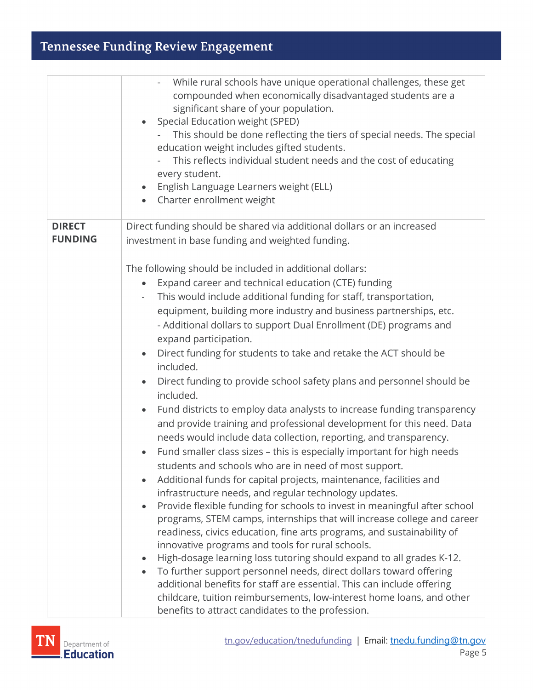|                | While rural schools have unique operational challenges, these get<br>compounded when economically disadvantaged students are a<br>significant share of your population.<br>Special Education weight (SPED)<br>This should be done reflecting the tiers of special needs. The special<br>education weight includes gifted students.<br>This reflects individual student needs and the cost of educating<br>every student.<br>English Language Learners weight (ELL)<br>Charter enrollment weight<br>$\bullet$ |
|----------------|--------------------------------------------------------------------------------------------------------------------------------------------------------------------------------------------------------------------------------------------------------------------------------------------------------------------------------------------------------------------------------------------------------------------------------------------------------------------------------------------------------------|
| <b>DIRECT</b>  | Direct funding should be shared via additional dollars or an increased                                                                                                                                                                                                                                                                                                                                                                                                                                       |
| <b>FUNDING</b> | investment in base funding and weighted funding.                                                                                                                                                                                                                                                                                                                                                                                                                                                             |
|                |                                                                                                                                                                                                                                                                                                                                                                                                                                                                                                              |
|                | The following should be included in additional dollars:                                                                                                                                                                                                                                                                                                                                                                                                                                                      |
|                | Expand career and technical education (CTE) funding                                                                                                                                                                                                                                                                                                                                                                                                                                                          |
|                | This would include additional funding for staff, transportation,                                                                                                                                                                                                                                                                                                                                                                                                                                             |
|                | equipment, building more industry and business partnerships, etc.                                                                                                                                                                                                                                                                                                                                                                                                                                            |
|                | - Additional dollars to support Dual Enrollment (DE) programs and                                                                                                                                                                                                                                                                                                                                                                                                                                            |
|                | expand participation.                                                                                                                                                                                                                                                                                                                                                                                                                                                                                        |
|                | Direct funding for students to take and retake the ACT should be<br>$\bullet$<br>included.                                                                                                                                                                                                                                                                                                                                                                                                                   |
|                | Direct funding to provide school safety plans and personnel should be                                                                                                                                                                                                                                                                                                                                                                                                                                        |
|                | included.                                                                                                                                                                                                                                                                                                                                                                                                                                                                                                    |
|                | Fund districts to employ data analysts to increase funding transparency                                                                                                                                                                                                                                                                                                                                                                                                                                      |
|                | and provide training and professional development for this need. Data                                                                                                                                                                                                                                                                                                                                                                                                                                        |
|                | needs would include data collection, reporting, and transparency.                                                                                                                                                                                                                                                                                                                                                                                                                                            |
|                | Fund smaller class sizes - this is especially important for high needs                                                                                                                                                                                                                                                                                                                                                                                                                                       |
|                | students and schools who are in need of most support.                                                                                                                                                                                                                                                                                                                                                                                                                                                        |
|                | Additional funds for capital projects, maintenance, facilities and                                                                                                                                                                                                                                                                                                                                                                                                                                           |
|                | infrastructure needs, and regular technology updates.                                                                                                                                                                                                                                                                                                                                                                                                                                                        |
|                | Provide flexible funding for schools to invest in meaningful after school<br>$\bullet$                                                                                                                                                                                                                                                                                                                                                                                                                       |
|                | programs, STEM camps, internships that will increase college and career                                                                                                                                                                                                                                                                                                                                                                                                                                      |
|                | readiness, civics education, fine arts programs, and sustainability of                                                                                                                                                                                                                                                                                                                                                                                                                                       |
|                | innovative programs and tools for rural schools.<br>High-dosage learning loss tutoring should expand to all grades K-12.                                                                                                                                                                                                                                                                                                                                                                                     |
|                | To further support personnel needs, direct dollars toward offering                                                                                                                                                                                                                                                                                                                                                                                                                                           |
|                | additional benefits for staff are essential. This can include offering                                                                                                                                                                                                                                                                                                                                                                                                                                       |
|                | childcare, tuition reimbursements, low-interest home loans, and other                                                                                                                                                                                                                                                                                                                                                                                                                                        |
|                | benefits to attract candidates to the profession.                                                                                                                                                                                                                                                                                                                                                                                                                                                            |